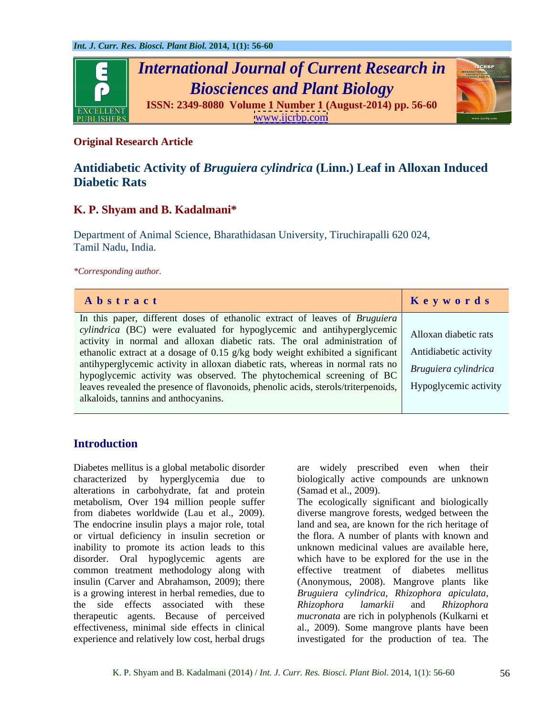

### **Original Research Article**

# **Antidiabetic Activity of** *Bruguiera cylindrica* **(Linn.) Leaf in Alloxan Induced Diabetic Rats**

## **K. P. Shyam and B. Kadalmani\***

Department of Animal Science, Bharathidasan University, Tiruchirapalli 620 024, Tamil Nadu, India.

*\*Corresponding author.*

| Abstract                                                                                                                                                                            | Keywords |
|-------------------------------------------------------------------------------------------------------------------------------------------------------------------------------------|----------|
| In this paper, different doses of ethanolic extract of leaves of <i>Bruguiera</i>                                                                                                   |          |
| cylindrica (BC) were evaluated for hypoglycemic and antihyperglycemic Alloxan diabetic rats<br>activity in normal and alloxan diabetic rats. The oral administration of             |          |
| ethanolic extract at a dosage of 0.15 g/kg body weight exhibited a significant   Antidiabetic activity                                                                              |          |
| antihyperglycemic activity in alloxan diabetic rats, whereas in normal rats no Bruguiera cylindrica                                                                                 |          |
| hypoglycemic activity was observed. The phytochemical screening of BC<br>leaves revealed the presence of flavonoids, phenolic acids, sterols/triterpenoids,   Hypoglycemic activity |          |
| alkaloids, tannins and anthocyanins.                                                                                                                                                |          |
|                                                                                                                                                                                     |          |

## **Introduction**

Diabetes mellitus is a global metabolic disorder are widely prescribed even when their characterized by hyperglycemia due to biologically active compounds are unknown alterations in carbohydrate, fat and protein metabolism, Over 194 million people suffer The ecologically significant and biologically from diabetes worldwide (Lau et al., 2009). diverse mangrove forests, wedged between the The endocrine insulin plays a major role, total land and sea, are known for the rich heritage of or virtual deficiency in insulin secretion or the flora. A number of plants with known and inability to promote its action leads to this unknown medicinal values are available here, disorder. Oral hypoglycemic agents are common treatment methodology along with<br>insulin (Carver and Abrahamson, 2009); there insulin (Carver and Abrahamson, 2009); there (Anonymous, 2008). Mangrove plants like is a growing interest in herbal remedies, due to *Bruguiera cylindrica, Rhizophora apiculata,* the side effects associated with these Rhizophora lamarkii and Rhizophora<br>therapeutic agents. Because of perceived *mucronata* are rich in polyphenols (Kulkarni et therapeutic agents. Because of perceived *mucronata* are rich in polyphenols (Kulkarni et effectiveness, minimal side effects in clinical experience and relatively low cost, herbal drugs investigated for the production of tea. The

(Samad et al., 2009).

which have to be explored for the use in the effective treatment of diabetes mellitus *Rhizophora lamarkii* and *Rhizophora*  al., 2009). Some mangrove plants have been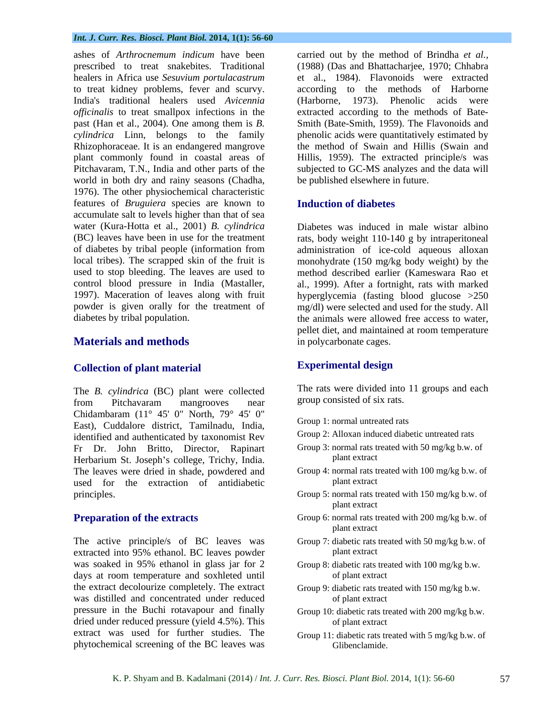### *Int. J. Curr. Res. Biosci. Plant Biol.* **2014, 1(1): 56-60**

healers in Africa use *Sesuvium portulacastrum* to treat kidney problems, fever and scurvy. *officinalis* to treat smallpox infections in the plant commonly found in coastal areas of world in both dry and rainy seasons (Chadha, 1976). The other physiochemical characteristic features of *Bruguiera* species are known to accumulate salt to levels higher than that of sea water (Kura-Hotta et al., 2001) *B. cylindrica* Diabetes was induced in male wistar albino (BC) leaves have been in use for the treatment rats, body weight 110-140 g by intraperitoneal of diabetes by tribal people (information from administration of ice-cold aqueous alloxan local tribes). The scrapped skin of the fruit is monohydrate (150 mg/kg body weight) by the used to stop bleeding. The leaves are used to method described earlier (Kameswara Rao et control blood pressure in India (Mastaller, al., 1999). After a fortnight, rats with marked 1997). Maceration of leaves along with fruit hyperglycemia (fasting blood glucose >250 powder is given orally for the treatment of mg/dl) were selected and used for the study. All

## **Collection of plant material**

The *B. cylindrica* (BC) plant were collected from Pitchavaram mangrooves near Chidambaram (11° 45' 0" North, 79° 45' 0" East), Cuddalore district, Tamilnadu, India, identified and authenticated by taxonomist Rev Fr Dr. John Britto, Director, Rapinart Group 3: normal rats to<br>Herbarium St. Joseph's college Trichy India Herbarium St. Joseph's college, Trichy, India. The leaves were dried in shade, powdered and Group 4: normal rats to<br>used for the extraction of antidiabetic plant extract used for the extraction of antidiabetic

The active principle/s of BC leaves was Group 7: diabetic rats treated with 50 mg/kg b.w. of extracted into 95% ethanol. BC leaves powder was soaked in 95% ethanol in glass jar for 2 days at room temperature and soxhleted until the extract decolourize completely. The extract Group 9: diabetic rats treated with 150 mg/kg b.w. was distilled and concentrated under reduced of plant extract pressure in the Buchi rotavapour and finally dried under reduced pressure (yield 4.5%). This of plant extract extract was used for further studies. The phytochemical screening of the BC leaves was

ashes of *Arthrocnemum indicum* have been carried out by the method of Brindha *et al.,* prescribed to treat snakebites. Traditional (1988) (Das and Bhattacharjee, 1970; Chhabra India's traditional healers used *Avicennia*  (Harborne, 1973). Phenolic acids were past (Han et al., 2004). One among them is *B.*  Smith (Bate-Smith, 1959). The Flavonoids and *cylindrica* Linn, belongs to the family phenolic acids were quantitatively estimated by Rhizophoraceae. It is an endangered mangrove the method of Swain and Hillis (Swain and Pitchavaram, T.N., India and other parts of the subjected to GC-MS analyzes and the data will et al., 1984). Flavonoids were extracted according to the methods of Harborne extracted according to the methods of Bate- Hillis, 1959). The extracted principle/s was be published elsewhere in future.

### **Induction of diabetes**

diabetes by tribal population. the animals were allowed free access to water, **Materials and methods and in polycarbonate cages.** *n* pellet diet, and maintained at room temperature in polycarbonate cages.

## **Experimental design**

The rats were divided into 11 groups and each group consisted of six rats.

- Group 1: normal untreated rats
- Group 2: Alloxan induced diabetic untreated rats
- Group 3: normal rats treated with 50 mg/kg b.w. of plant extract **produce** the contract the contract  $\alpha$
- Group 4: normal rats treated with 100 mg/kg b.w. of plant extract the state of the state of the state of the state of the state of the state of the state of the state of the state of the state of the state of the state of the state of the state of the state of the state of
- principles. The same of the Group S: normal rats treated with 150 mg/kg b.w. of plant extract the state of the state of the state of the state of the state of the state of the state of the state of the state of the state of the state of the state of the state of the state of the state of the state of
- **Preparation of the extracts** Group 6: normal rats treated with 200 mg/kg b.w. of plant extract **produce** the contract the contract  $\alpha$ 
	- plant extract the state of the state of the state of the state of the state of the state of the state of the state of the state of the state of the state of the state of the state of the state of the state of the state of
	- Group 8: diabetic rats treated with 100 mg/kg b.w. of plant extract
	- of plant extract
	- Group 10: diabetic rats treated with 200 mg/kg b.w. of plant extract
	- Group 11: diabetic rats treated with 5 mg/kg b.w. of Glibenclamide.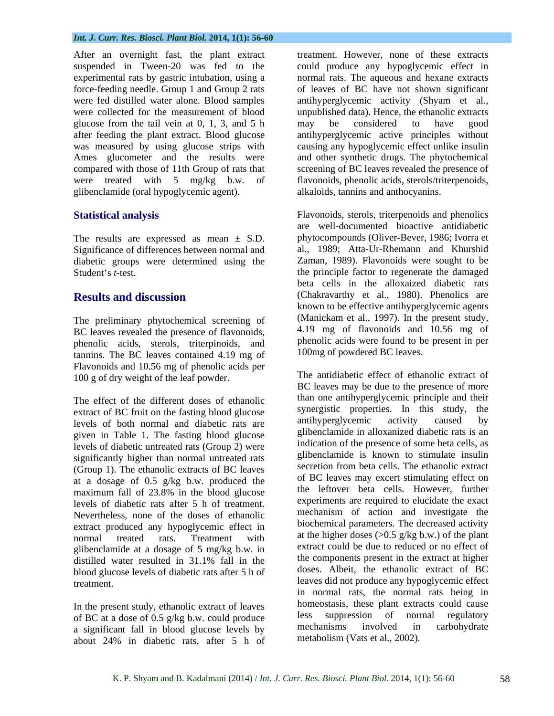### *Int. J. Curr. Res. Biosci. Plant Biol.* **2014, 1(1): 56-60**

After an overnight fast, the plant extract suspended in Tween-20 was fed to the could produce any hypoglycemic effect in experimental rats by gastric intubation, using a force-feeding needle. Group 1 and Group 2 rats were fed distilled water alone. Blood samples antihyperglycemic activity (Shyam et al., were collected for the measurement of blood unpublished data). Hence, the ethanolic extracts glucose from the tail vein at 0, 1, 3, and 5 h after feeding the plant extract. Blood glucose antihyperglycemic active principles without was measured by using glucose strips with Ames glucometer and the results were and other synthetic drugs. The phytochemical compared with those of 11th Group of rats that screening of BC leaves revealed the presence of were treated with 5 mg/kg b.w. of flavonoids, phenolic acids, sterols/triterpenoids, glibenclamide (oral hypoglycemic agent).

The results are expressed as mean ± S*.*D. diabetic groups were determined using the

The preliminary phytochemical screening of BC leaves revealed the presence of flavonoids, phenolic acids, sterols, triterpinoids, and tannins. The BC leaves contained 4.19 mg of Flavonoids and 10.56 mg of phenolic acids per 100 g of dry weight of the leaf powder.

The effect of the different doses of ethanolic than one antihyperglycemic principle and their<br>synergistic properties. In this study, the extract of BC fruit on the fasting blood glucose synergistic properties. In this study, the<br>levels of both normal and diabetic rats are antihyperglycemic activity caused by levels of both normal and diabetic rats are given in Table 1. The fasting blood glucose levels of diabetic untreated rats (Group 2) were significantly higher than normal untreated rats (Group 1). The ethanolic extracts of BC leaves at a dosage of 0.5 g/kg b.w. produced the levels of diabetic rats after 5 h of treatment. Nevertheless, none of the doses of ethanolic extract produced any hypoglycemic effect in glibenclamide at a dosage of 5 mg/kg b.w. in blood glucose levels of diabetic rats after 5 h of

of BC at a dose of 0.5 g/kg b.w. could produce<br>a significant fall in blood glucose levels by mechanisms involved in carbohydrate a significant fall in blood glucose levels by about 24% in diabetic rats, after 5 h of metabolism (Vats et al.,  $2002$ ).

treatment. However, none of these extracts normal rats. The aqueous and hexane extracts of leaves of BC have not shown significant antihyperglycemic activity (Shyam et al., unpublished data). Hence, the ethanolic extracts may be considered to have good causing any hypoglycemic effect unlike insulin alkaloids, tannins and anthocyanins.

Statistical analysis **Flavonoids**, sterols, triterpenoids and phenolics Significance of differences between normal and al., 1989; Atta-Ur-Rhemann and Khurshid Student's *t*-test. **Results and discussion** (Chakravarthy et al., 1980). Phenolics are are well-documented bioactive antidiabetic phytocompounds (Oliver-Bever, 1986; Ivorra et Zaman, 1989). Flavonoids were sought to be beta cells in the alloxaized diabetic rats (Chakravarthy et al., 1980). Phenolics are known to be effective antihyperglycemic agents (Manickam et al., 1997). In the present study, 4.19 mg of flavonoids and 10.56 mg of phenolic acids were found to be present in per 100mg of powdered BC leaves.

maximum fall of 23.8% in the blood glucose the lettover beta cells. However, further normal treated rats. Treatment with at the higher doses  $(>0.5 \text{ g/kg b.w.})$  of the plant distilled water resulted in 31.1% fall in the the components present in the extract at higher treatment. leaves did not produce any hypoglycemic effect In the present study, ethanolic extract of leaves<br>of BC at a dose of 0.5  $\alpha/\alpha$  b w could produce<br>less suppression of normal regulatory The antidiabetic effect of ethanolic extract of BC leaves may be due to the presence of more than one antihyperglycemic principle and their synergistic properties. In this study, antihyperglycemic activity caused by glibenclamide in alloxanized diabetic rats is an indication of the presence of some beta cells, as glibenclamide is known to stimulate insulin secretion from beta cells. The ethanolic extract of BC leaves may excert stimulating effect on the leftover beta cells. However, further experiments are required to elucidate the exact mechanism of action and investigate the biochemical parameters. The decreased activity extract could be due to reduced or no effect of the components present in the extract at higher doses. Albeit, the ethanolic extract of BC in normal rats, the normal rats being in homeostasis, these plant extracts could cause less suppression of normal regulatory mechanisms involved in carbohydrate metabolism (Vats et al., 2002).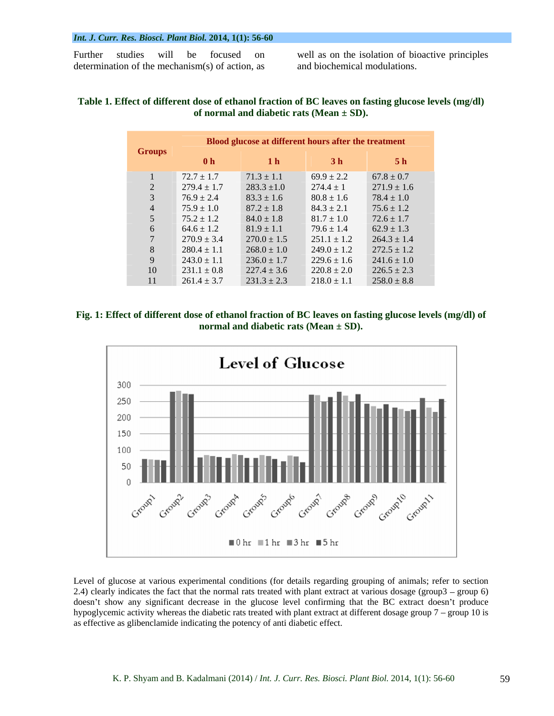### *Int. J. Curr. Res. Biosci. Plant Biol.* **2014, 1(1): 56-60**

Further studies will be focused on well as on the isolation of bioactive principles determination of the mechanism(s) of action, as

and biochemical modulations.

### **Table 1. Effect of different dose of ethanol fraction of BC leaves on fasting glucose levels (mg/dl) of normal and diabetic rats (Mean ± SD).**

| <b>Groups</b> |                 | Blood glucose at different hours after the treatment |                 |                 |
|---------------|-----------------|------------------------------------------------------|-----------------|-----------------|
|               | 0 <sub>h</sub>  | 1 <sub>h</sub>                                       | 3 <sub>h</sub>  | 5 <sub>h</sub>  |
|               | $72.7 \pm 1.7$  | $71.3 \pm 1.1$                                       | $69.9 \pm 2.2$  | $67.8 \pm 0.7$  |
|               | $279.4 \pm 1.7$ | $283.3 \pm 1.0$                                      | $274.4 \pm 1$   | $271.9 \pm 1.6$ |
|               | $76.9 \pm 2.4$  | $83.3 \pm 1.6$                                       | $80.8 \pm 1.6$  | $78.4 \pm 1.0$  |
|               | $75.9 \pm 1.0$  | $87.2 \pm 1.8$                                       | $84.3 \pm 2.1$  | $75.6 \pm 1.2$  |
|               | $75.2 \pm 1.2$  | $84.0 \pm 1.8$                                       | $81.7 \pm 1.0$  | $72.6 \pm 1.7$  |
| h.            | $64.6 \pm 1.2$  | $81.9 \pm 1.1$                                       | $79.6 \pm 1.4$  | $62.9 \pm 1.3$  |
|               | $270.9 \pm 3.4$ | $270.0 \pm 1.5$                                      | $251.1 \pm 1.2$ | $264.3 \pm 1.4$ |
| $\Delta$      | $280.4 \pm 1.1$ | $268.0 \pm 1.0$                                      | $249.0 \pm 1.2$ | $272.5 \pm 1.2$ |
|               | $243.0 \pm 1.1$ | $236.0 \pm 1.7$                                      | $229.6 \pm 1.6$ | $241.6 \pm 1.0$ |
| 10            | $231.1 \pm 0.8$ | $227.4 \pm 3.6$                                      | $220.8 \pm 2.0$ | $226.5 \pm 2.3$ |
| 41 /          | $261.4 \pm 3.7$ | $231.3 \pm 2.3$                                      | $218.0 \pm 1.1$ | $258.0 \pm 8.8$ |

**Fig. 1: Effect of different dose of ethanol fraction of BC leaves on fasting glucose levels (mg/dl) of normal and diabetic rats (Mean ± SD).**



Level of glucose at various experimental conditions (for details regarding grouping of animals; refer to section 2.4) clearly indicates the fact that the normal rats treated with plant extract at various dosage (group  $3 -$  group 6) doesn't show any significant decrease in the glucose level confirming that the BC extract doesn't produce hypoglycemic activity whereas the diabetic rats treated with plant extract at different dosage group  $7 -$  group 10 is as effective as glibenclamide indicating the potency of anti diabetic effect.